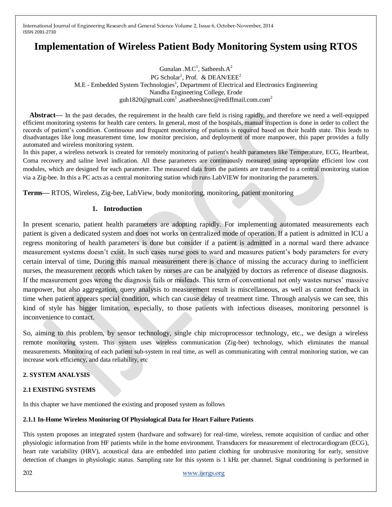# **Implementation of Wireless Patient Body Monitoring System using RTOS**

Gunalan .M.C<sup>1</sup>, Satheesh.A<sup>2</sup> PG Scholar<sup>1</sup>, Prof. & DEAN/EEE<sup>2</sup> M.E - Embedded System Technologies<sup>1</sup>, Department of Electrical and Electronics Engineering Nandha Engineering College, Erode guh1820@gmail.com<sup>1</sup>,asatheeshnec@rediffmail.com.com<sup>2</sup>

**Abstract—** In the past decades, the requirement in the health care field is rising rapidly, and therefore we need a well-equipped efficient monitoring systems for health care centers. In general, most of the hospitals, manual inspection is done in order to collect the records of patient's condition. Continuous and frequent monitoring of patients is required based on their health state. This leads to disadvantages like long measurement time, low monitor precision, and deployment of more manpower, this paper provides a fully automated and wireless monitoring system.

In this paper, a wireless network is created for remotely monitoring of patient's health parameters like Temperature, ECG, Heartbeat, Coma recovery and saline level indication. All these parameters are continuously measured using appropriate efficient low cost modules, which are designed for each parameter. The measured data from the patients are transferred to a central monitoring station via a Zig-bee. In this a PC acts as a central monitoring station which runs LabVIEW for monitoring the parameters.

**Terms—** RTOS, Wireless, Zig-bee, LabView, body monitoring, monitoring, patient monitoring

### **1. Introduction**

In present scenario, patient health parameters are adopting rapidly. For implementing automated measurements each patient is given a dedicated system and does not works on centralized mode of operation. If a patient is admitted in ICU a regress monitoring of health parameters is done but consider if a patient is admitted in a normal ward there advance measurement systems doesn't exist. In such cases nurse goes to ward and measures patient's body parameters for every certain interval of time, During this manual measurement there is chance of missing the accuracy during to inefficient nurses, the measurement records which taken by nurses are can be analyzed by doctors as reference of disease diagnosis. If the measurement goes wrong the diagnosis fails or misleads. This term of conventional not only wastes nurses' massive manpower, but also aggregation, query analysis to measurement result is miscellaneous, as well as cannot feedback in time when patient appears special condition, which can cause delay of treatment time. Through analysis we can see, this kind of style has bigger limitation, especially, to those patients with infectious diseases, monitoring personnel is inconvenience to contact.

So, aiming to this problem, by sensor technology, single chip microprocessor technology, etc., we design a wireless remote monitoring system. This system uses wireless communication (Zig-bee) technology, which eliminates the manual measurements. Monitoring of each patient sub-system in real time, as well as communicating with central monitoring station, we can increase work efficiency, and data reliability, etc

# **2. SYSTEM ANALYSIS**

### **2.1 EXISTING SYSTEMS**

In this chapter we have mentioned the existing and proposed system as follows

### **2.1.1 In-Home Wireless Monitoring Of Physiological Data for Heart Failure Patients**

This system proposes an integrated system (hardware and software) for real-time, wireless, remote acquisition of cardiac and other physiologic information from HF patients while in the home environment. Transducers for measurement of electrocardiogram (ECG), heart rate variability (HRV), acoustical data are embedded into patient clothing for unobtrusive monitoring for early, sensitive detection of changes in physiologic status. Sampling rate for this system is 1 kHz per channel. Signal conditioning is performed in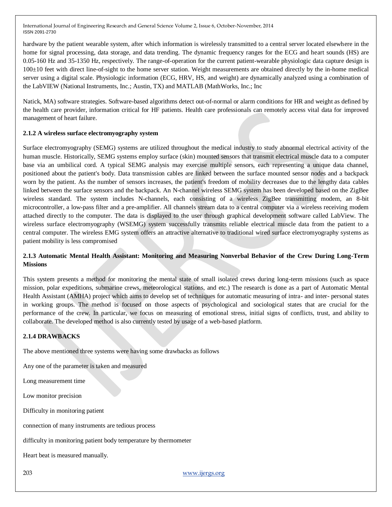hardware by the patient wearable system, after which information is wirelessly transmitted to a central server located elsewhere in the home for signal processing, data storage, and data trending. The dynamic frequency ranges for the ECG and heart sounds (HS) are 0.05-160 Hz and 35-1350 Hz, respectively. The range-of-operation for the current patient-wearable physiologic data capture design is 100±10 feet with direct line-of-sight to the home server station. Weight measurements are obtained directly by the in-home medical server using a digital scale. Physiologic information (ECG, HRV, HS, and weight) are dynamically analyzed using a combination of the LabVIEW (National Instruments, Inc.; Austin, TX) and MATLAB (MathWorks, Inc.; Inc

Natick, MA) software strategies. Software-based algorithms detect out-of-normal or alarm conditions for HR and weight as defined by the health care provider, information critical for HF patients. Health care professionals can remotely access vital data for improved management of heart failure.

### **2.1.2 A wireless surface electromyography system**

Surface electromyography (SEMG) systems are utilized throughout the medical industry to study abnormal electrical activity of the human muscle. Historically, SEMG systems employ surface (skin) mounted sensors that transmit electrical muscle data to a computer base via an umbilical cord. A typical SEMG analysis may exercise multiple sensors, each representing a unique data channel, positioned about the patient's body. Data transmission cables are linked between the surface mounted sensor nodes and a backpack worn by the patient. As the number of sensors increases, the patient's freedom of mobility decreases due to the lengthy data cables linked between the surface sensors and the backpack. An N-channel wireless SEMG system has been developed based on the ZigBee wireless standard. The system includes N-channels, each consisting of a wireless ZigBee transmitting modem, an 8-bit microcontroller, a low-pass filter and a pre-amplifier. All channels stream data to a central computer via a wireless receiving modem attached directly to the computer. The data is displayed to the user through graphical development software called LabView. The wireless surface electromyography (WSEMG) system successfully transmits reliable electrical muscle data from the patient to a central computer. The wireless EMG system offers an attractive alternative to traditional wired surface electromyography systems as patient mobility is less compromised

# **2.1.3 Automatic Mental Health Assistant: Monitoring and Measuring Nonverbal Behavior of the Crew During Long-Term Missions**

This system presents a method for monitoring the mental state of small isolated crews during long-term missions (such as space mission, polar expeditions, submarine crews, meteorological stations, and etc.) The research is done as a part of Automatic Mental Health Assistant (AMHA) project which aims to develop set of techniques for automatic measuring of intra- and inter- personal states in working groups. The method is focused on those aspects of psychological and sociological states that are crucial for the performance of the crew. In particular, we focus on measuring of emotional stress, initial signs of conflicts, trust, and ability to collaborate. The developed method is also currently tested by usage of a web-based platform.

# **2.1.4 DRAWBACKS**

The above mentioned three systems were having some drawbacks as follows

Any one of the parameter is taken and measured

Long measurement time

Low monitor precision

Difficulty in monitoring patient

connection of many instruments are tedious process

difficulty in monitoring patient body temperature by thermometer

Heart beat is measured manually.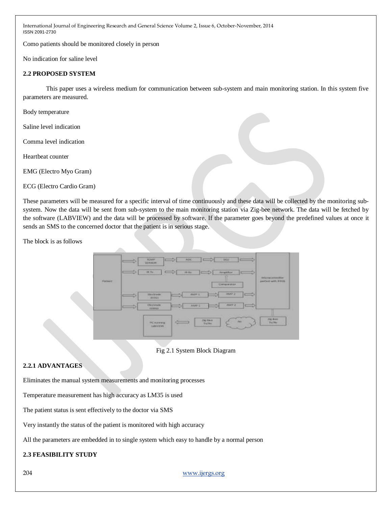Como patients should be monitored closely in person

No indication for saline level

### **2.2 PROPOSED SYSTEM**

This paper uses a wireless medium for communication between sub-system and main monitoring station. In this system five parameters are measured.

Body temperature

Saline level indication

Comma level indication

Heartbeat counter

EMG (Electro Myo Gram)

ECG (Electro Cardio Gram)

These parameters will be measured for a specific interval of time continuously and these data will be collected by the monitoring subsystem. Now the data will be sent from sub-system to the main monitoring station via Zig-bee network. The data will be fetched by the software (LABVIEW) and the data will be processed by software. If the parameter goes beyond the predefined values at once it sends an SMS to the concerned doctor that the patient is in serious stage.

The block is as follows





# **2.2.1 ADVANTAGES**

Eliminates the manual system measurements and monitoring processes

Temperature measurement has high accuracy as LM35 is used

The patient status is sent effectively to the doctor via SMS

Very instantly the status of the patient is monitored with high accuracy

All the parameters are embedded in to single system which easy to handle by a normal person

# **2.3 FEASIBILITY STUDY**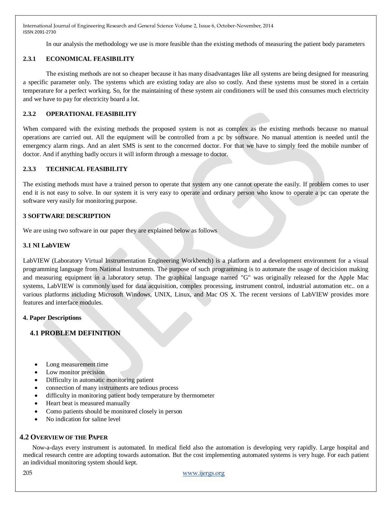In our analysis the methodology we use is more feasible than the existing methods of measuring the patient body parameters

# **2.3.1 ECONOMICAL FEASIBILITY**

The existing methods are not so cheaper because it has many disadvantages like all systems are being designed for measuring a specific parameter only. The systems which are existing today are also so costly. And these systems must be stored in a certain temperature for a perfect working. So, for the maintaining of these system air conditioners will be used this consumes much electricity and we have to pay for electricity board a lot.

# **2.3.2 OPERATIONAL FEASIBILITY**

When compared with the existing methods the proposed system is not as complex as the existing methods because no manual operations are carried out. All the equipment will be controlled from a pc by software. No manual attention is needed until the emergency alarm rings. And an alert SMS is sent to the concerned doctor. For that we have to simply feed the mobile number of doctor. And if anything badly occurs it will inform through a message to doctor.

# **2.3.3 TECHNICAL FEASIBILITY**

The existing methods must have a trained person to operate that system any one cannot operate the easily. If problem comes to user end it is not easy to solve. In our system it is very easy to operate and ordinary person who know to operate a pc can operate the software very easily for monitoring purpose.

### **3 SOFTWARE DESCRIPTION**

We are using two software in our paper they are explained below as follows

### **3.1 NI LabVIEW**

LabVIEW (Laboratory Virtual Instrumentation Engineering Workbench) is a platform and a development environment for a visual programming language from National Instruments. The purpose of such programming is to automate the usage of decicision making and measuring equipment in a laboratory setup. The graphical language named "G" was originally released for the Apple Mac systems, LabVIEW is commonly used for data acquisition, complex processing, instrument control, industrial automation etc.. on a various platforms including Microsoft Windows, UNIX, Linux, and Mac OS X. The recent versions of LabVIEW provides more features and interface modules.

### **4. Paper Descriptions**

# **4.1 PROBLEM DEFINITION**

- Long measurement time
- Low monitor precision
- Difficulty in automatic monitoring patient
- connection of many instruments are tedious process
- difficulty in monitoring patient body temperature by thermometer
- Heart beat is measured manually
- Como patients should be monitored closely in person
- No indication for saline level

# **4.2 OVERVIEW OF THE PAPER**

Now-a-days every instrument is automated. In medical field also the automation is developing very rapidly. Large hospital and medical research centre are adopting towards automation. But the cost implementing automated systems is very huge. For each patient an individual monitoring system should kept.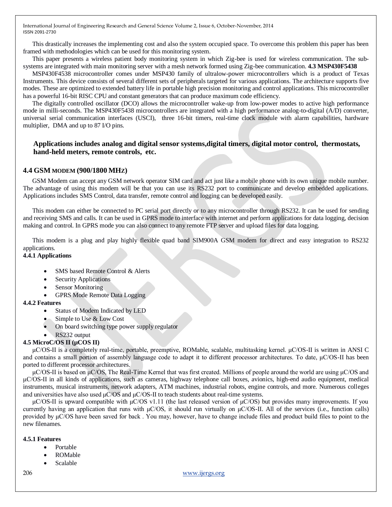This drastically increases the implementing cost and also the system occupied space. To overcome this problem this paper has been framed with methodologies which can be used for this monitoring system.

This paper presents a wireless patient body monitoring system in which Zig-bee is used for wireless communication. The subsystems are integrated with main monitoring server with a mesh network formed using Zig-bee communication. **4.3 MSP430F5438**

MSP430F4538 microcontroller comes under MSP430 family of ultralow-power microcontrollers which is a product of Texas Instruments. This device consists of several different sets of peripherals targeted for various applications. The architecture supports five modes. These are optimized to extended battery life in portable high precision monitoring and control applications. This microcontroller has a powerful 16-bit RISC CPU and constant generators that can produce maximum code efficiency.

The digitally controlled oscillator (DCO) allows the microcontroller wake-up from low-power modes to active high performance mode in milli-seconds. The MSP430F5438 microcontrollers are integrated with a high performance analog-to-digital (A/D) converter, universal serial communication interfaces (USCI), three 16-bit timers, real-time clock module with alarm capabilities, hardware multiplier, DMA and up to 87 I/O pins.

# **Applications includes analog and digital sensor systems,digital timers, digital motor control, thermostats, hand-held meters, remote controls, etc.**

### **4.4 GSM MODEM (900/1800 MHZ)**

GSM Modem can accept any GSM network operator SIM card and act just like a mobile phone with its own unique mobile number. The advantage of using this modem will be that you can use its RS232 port to communicate and develop embedded applications. Applications includes SMS Control, data transfer, remote control and logging can be developed easily.

This modem can either be connected to PC serial port directly or to any microcontroller through RS232. It can be used for sending and receiving SMS and calls. It can be used in GPRS mode to interface with internet and perform applications for data logging, decision making and control. In GPRS mode you can also connect to any remote FTP server and upload files for data logging.

This modem is a plug and play highly flexible quad band SIM900A GSM modem for direct and easy integration to RS232 applications.

### **4.4.1 Applications**

- SMS based Remote Control & Alerts
- Security Applications
- Sensor Monitoring
- GPRS Mode Remote Data Logging

### **4.4.2 Features**

- Status of Modem Indicated by LED
- Simple to Use & Low Cost
- On board switching type power supply regulator
- RS232 output

### **4.5 MicroC/OS II (µCOS II)**

μC/OS-II is a completely real-time, portable, preemptive, ROMable, scalable, multitasking kernel. μC/OS-II is written in ANSI C and contains a small portion of assembly language code to adapt it to different processor architectures. To date, μC/OS-II has been ported to different processor architectures.

μC/OS-II is based on μC/OS, The Real-Time Kernel that was first created. Millions of people around the world are using μC/OS and μC/OS-II in all kinds of applications, such as cameras, highway telephone call boxes, avionics, high-end audio equipment, medical instruments, musical instruments, network adapters, ATM machines, industrial robots, engine controls, and more. Numerous colleges and universities have also used  $\mu$ C/OS and  $\mu$ C/OS-II to teach students about real-time systems.

μC/OS-II is upward compatible with  $μC/OS$  v1.11 (the last released version of  $μC/OS$ ) but provides many improvements. If you currently having an application that runs with  $\mu$ C/OS, it should run virtually on  $\mu$ C/OS-II. All of the services (i.e., function calls) provided by μC/OS have been saved for back . You may, however, have to change include files and product build files to point to the new filenames.

#### **4.5.1 Features**

- Portable
- ROMable
- Scalable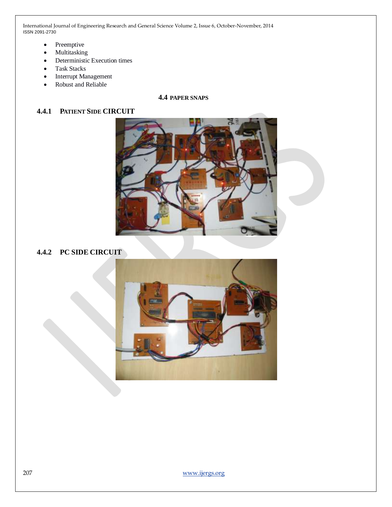- Preemptive
- Multitasking
- Deterministic Execution times
- Task Stacks
- Interrupt Management
- Robust and Reliable

# **4.4 PAPER SNAPS**

# **4.4.1 PATIENT SIDE CIRCUIT**



# **4.4.2 PC SIDE CIRCUIT**